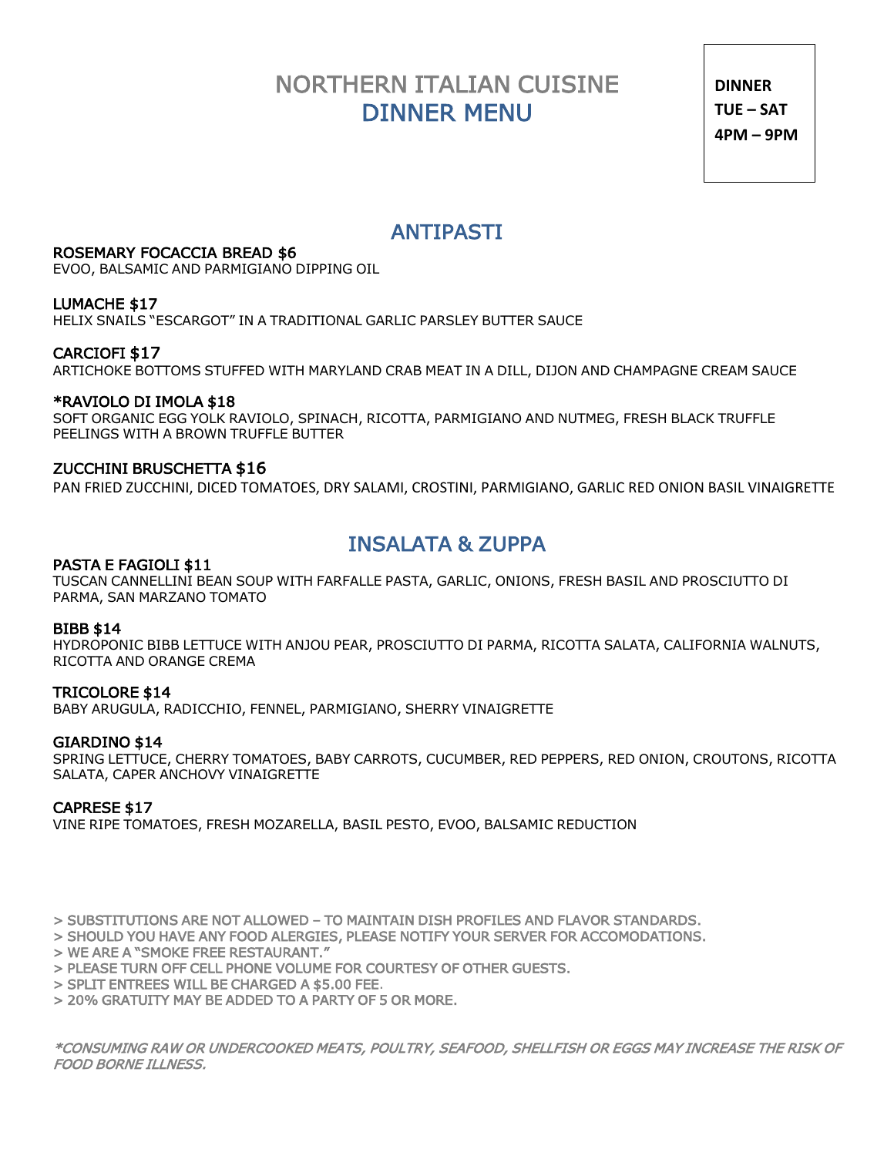# NORTHERN ITALIAN CUISINE DINNER MENU

**DINNER TUE – SAT 4PM – 9PM**

# ANTIPASTI ROSEMARY FOCACCIA BREAD \$6

EVOO, BALSAMIC AND PARMIGIANO DIPPING OIL

### LUMACHE \$17

HELIX SNAILS "ESCARGOT" IN A TRADITIONAL GARLIC PARSLEY BUTTER SAUCE

### CARCIOFI \$17

ARTICHOKE BOTTOMS STUFFED WITH MARYLAND CRAB MEAT IN A DILL, DIJON AND CHAMPAGNE CREAM SAUCE

#### \*RAVIOLO DI IMOLA \$18

SOFT ORGANIC EGG YOLK RAVIOLO, SPINACH, RICOTTA, PARMIGIANO AND NUTMEG, FRESH BLACK TRUFFLE PEELINGS WITH A BROWN TRUFFLE BUTTER

#### ZUCCHINI BRUSCHETTA \$16

PAN FRIED ZUCCHINI, DICED TOMATOES, DRY SALAMI, CROSTINI, PARMIGIANO, GARLIC RED ONION BASIL VINAIGRETTE

# INSALATA & ZUPPA PASTA E FAGIOLI \$11

TUSCAN CANNELLINI BEAN SOUP WITH FARFALLE PASTA, GARLIC, ONIONS, FRESH BASIL AND PROSCIUTTO DI PARMA, SAN MARZANO TOMATO

#### BIBB \$14

HYDROPONIC BIBB LETTUCE WITH ANJOU PEAR, PROSCIUTTO DI PARMA, RICOTTA SALATA, CALIFORNIA WALNUTS, RICOTTA AND ORANGE CREMA

#### TRICOLORE \$14

BABY ARUGULA, RADICCHIO, FENNEL, PARMIGIANO, SHERRY VINAIGRETTE

#### GIARDINO \$14

SPRING LETTUCE, CHERRY TOMATOES, BABY CARROTS, CUCUMBER, RED PEPPERS, RED ONION, CROUTONS, RICOTTA SALATA, CAPER ANCHOVY VINAIGRETTE

### CAPRESE \$17

VINE RIPE TOMATOES, FRESH MOZARELLA, BASIL PESTO, EVOO, BALSAMIC REDUCTION

> SUBSTITUTIONS ARE NOT ALLOWED – TO MAINTAIN DISH PROFILES AND FLAVOR STANDARDS.

> SHOULD YOU HAVE ANY FOOD ALERGIES, PLEASE NOTIFY YOUR SERVER FOR ACCOMODATIONS.

> WE ARE A "SMOKE FREE RESTAURANT."

> PLEASE TURN OFF CELL PHONE VOLUME FOR COURTESY OF OTHER GUESTS.

> SPLIT ENTREES WILL BE CHARGED A \$5.00 FEE.

> 20% GRATUITY MAY BE ADDED TO A PARTY OF 5 OR MORE.

\*CONSUMING RAW OR UNDERCOOKED MEATS, POULTRY, SEAFOOD, SHELLFISH OR EGGS MAY INCREASE THE RISK OF FOOD BORNE ILLNESS.